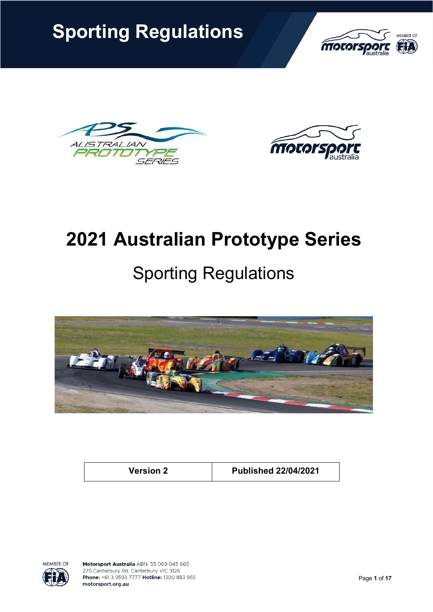**Sporting Regulations**



**ISTRALIAN**  $A/$  $\prime\prime\prime\prime$ 7 SERIES



# **2021 Australian Prototype Series**

# Sporting Regulations



**Version 2 Published 22/04/2021**

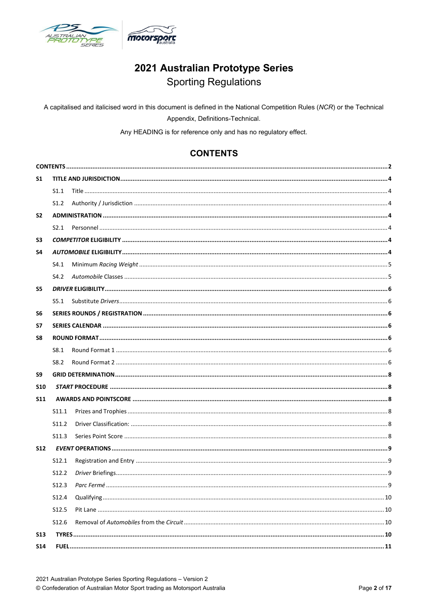

## 2021 Australian Prototype Series **Sporting Regulations**

A capitalised and italicised word in this document is defined in the National Competition Rules (NCR) or the Technical Appendix, Definitions-Technical.

Any HEADING is for reference only and has no regulatory effect.

## **CONTENTS**

<span id="page-1-0"></span>

| S1             |                   |  |  |  |  |  |  |  |
|----------------|-------------------|--|--|--|--|--|--|--|
|                | S1.1              |  |  |  |  |  |  |  |
|                | S1.2              |  |  |  |  |  |  |  |
| S <sub>2</sub> |                   |  |  |  |  |  |  |  |
|                |                   |  |  |  |  |  |  |  |
| S3             |                   |  |  |  |  |  |  |  |
| S4             |                   |  |  |  |  |  |  |  |
|                | S4.1              |  |  |  |  |  |  |  |
|                | S4.2              |  |  |  |  |  |  |  |
| S5             |                   |  |  |  |  |  |  |  |
|                | S5.1              |  |  |  |  |  |  |  |
| S6             |                   |  |  |  |  |  |  |  |
| S7             |                   |  |  |  |  |  |  |  |
| S8             |                   |  |  |  |  |  |  |  |
|                | S8.1              |  |  |  |  |  |  |  |
|                | S8.2              |  |  |  |  |  |  |  |
| S9             |                   |  |  |  |  |  |  |  |
| <b>S10</b>     |                   |  |  |  |  |  |  |  |
| <b>S11</b>     |                   |  |  |  |  |  |  |  |
|                | S11.1             |  |  |  |  |  |  |  |
|                | S11.2             |  |  |  |  |  |  |  |
|                | S <sub>11.3</sub> |  |  |  |  |  |  |  |
| <b>S12</b>     |                   |  |  |  |  |  |  |  |
|                | S <sub>12.1</sub> |  |  |  |  |  |  |  |
|                | S12.2             |  |  |  |  |  |  |  |
|                | S <sub>12.3</sub> |  |  |  |  |  |  |  |
|                | S12.4             |  |  |  |  |  |  |  |
|                | S12.5             |  |  |  |  |  |  |  |
|                | S <sub>12.6</sub> |  |  |  |  |  |  |  |
| <b>S13</b>     |                   |  |  |  |  |  |  |  |
| <b>S14</b>     |                   |  |  |  |  |  |  |  |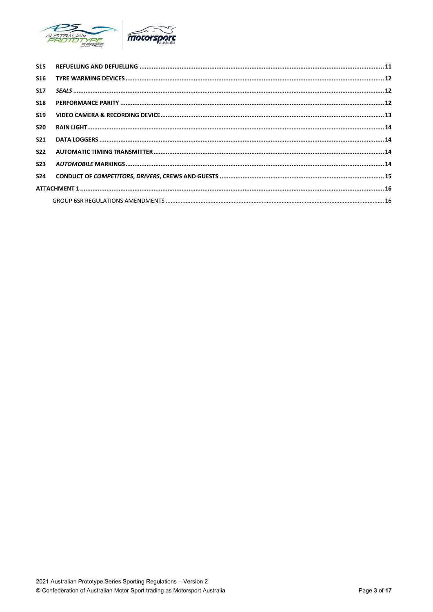

| <b>S15</b>      |  |  |  |  |  |
|-----------------|--|--|--|--|--|
| S <sub>16</sub> |  |  |  |  |  |
| <b>S17</b>      |  |  |  |  |  |
| <b>S18</b>      |  |  |  |  |  |
| <b>S19</b>      |  |  |  |  |  |
| <b>S20</b>      |  |  |  |  |  |
| <b>S21</b>      |  |  |  |  |  |
| <b>S22</b>      |  |  |  |  |  |
| <b>S23</b>      |  |  |  |  |  |
| <b>S24</b>      |  |  |  |  |  |
|                 |  |  |  |  |  |
|                 |  |  |  |  |  |
|                 |  |  |  |  |  |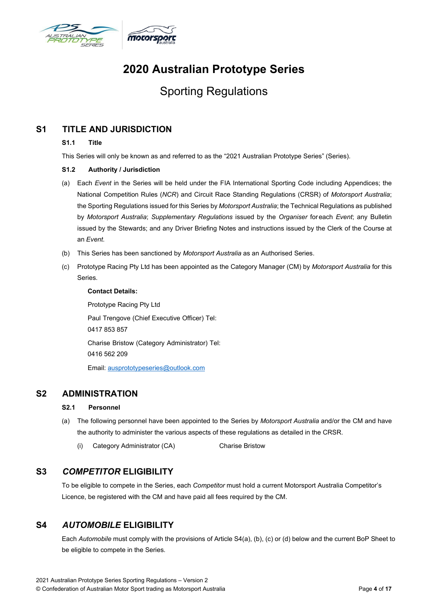

# **2020 Australian Prototype Series**

## Sporting Regulations

## <span id="page-3-2"></span><span id="page-3-1"></span><span id="page-3-0"></span>**S1 TITLE AND JURISDICTION**

#### **S1.1 Title**

This Series will only be known as and referred to as the "2021 Australian Prototype Series" (Series).

#### **S1.2 Authority / Jurisdiction**

- (a) Each *Event* in the Series will be held under the FIA International Sporting Code including Appendices; the National Competition Rules (*NCR*) and Circuit Race Standing Regulations (CRSR) of *Motorsport Australia*; the Sporting Regulations issued for this Series by *Motorsport Australia*; the Technical Regulations as published by *Motorsport Australia*; *Supplementary Regulations* issued by the *Organiser* foreach *Event*; any Bulletin issued by the Stewards; and any Driver Briefing Notes and instructions issued by the Clerk of the Course at an *Event*.
- (b) This Series has been sanctioned by *Motorsport Australia* as an Authorised Series.
- (c) Prototype Racing Pty Ltd has been appointed as the Category Manager (CM) by *Motorsport Australia* for this Series.

**Contact Details:**

Prototype Racing Pty Ltd Paul Trengove (Chief Executive Officer) Tel: 0417 853 857 Charise Bristow (Category Administrator) Tel: 0416 562 209 Email: [ausprototypeseries@outlook.com](mailto:ausprototypeseries@outlook.com)

### <span id="page-3-4"></span><span id="page-3-3"></span>**S2 ADMINISTRATION**

#### **S2.1 Personnel**

- (a) The following personnel have been appointed to the Series by *Motorsport Australia* and/or the CM and have the authority to administer the various aspects of these regulations as detailed in the CRSR.
	- (i) Category Administrator (CA) Charise Bristow

## <span id="page-3-5"></span>**S3** *COMPETITOR* **ELIGIBILITY**

To be eligible to compete in the Series, each *Competitor* must hold a current Motorsport Australia Competitor's Licence, be registered with the CM and have paid all fees required by the CM.

## <span id="page-3-6"></span>**S4** *AUTOMOBILE* **ELIGIBILITY**

Each *Automobile* must comply with the provisions of Article S4(a), (b), (c) or (d) below and the current BoP Sheet to be eligible to compete in the Series.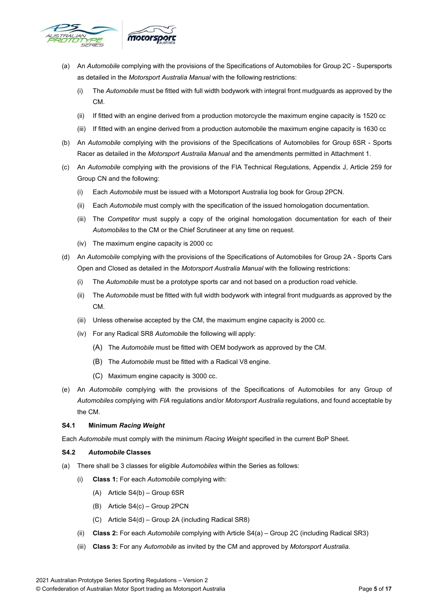

- (a) An *Automobile* complying with the provisions of the Specifications of Automobiles for Group 2C Supersports as detailed in the *Motorsport Australia Manual* with the following restrictions:
	- (i) The *Automobile* must be fitted with full width bodywork with integral front mudguards as approved by the CM.
	- (ii) If fitted with an engine derived from a production motorcycle the maximum engine capacity is 1520 cc
	- (iii) If fitted with an engine derived from a production automobile the maximum engine capacity is 1630 cc
- (b) An *Automobile* complying with the provisions of the Specifications of Automobiles for Group 6SR Sports Racer as detailed in the *Motorsport Australia Manual* and the amendments permitted in Attachment 1.
- (c) An *Automobile* complying with the provisions of the FIA Technical Regulations, Appendix J, Article 259 for Group CN and the following:
	- (i) Each *Automobile* must be issued with a Motorsport Australia log book for Group 2PCN.
	- (ii) Each *Automobile* must comply with the specification of the issued homologation documentation.
	- (iii) The *Competitor* must supply a copy of the original homologation documentation for each of their *Automobiles* to the CM or the Chief Scrutineer at any time on request.
	- (iv) The maximum engine capacity is 2000 cc
- (d) An *Automobile* complying with the provisions of the Specifications of Automobiles for Group 2A Sports Cars Open and Closed as detailed in the *Motorsport Australia Manual* with the following restrictions:
	- (i) The *Automobile* must be a prototype sports car and not based on a production road vehicle.
	- (ii) The *Automobile* must be fitted with full width bodywork with integral front mudguards as approved by the CM.
	- (iii) Unless otherwise accepted by the CM, the maximum engine capacity is 2000 cc.
	- (iv) For any Radical SR8 *Automobil*e the following will apply:
		- (A) The *Automobile* must be fitted with OEM bodywork as approved by the CM.
		- (B) The *Automobile* must be fitted with a Radical V8 engine.
		- (C) Maximum engine capacity is 3000 cc.
- (e) An *Automobile* complying with the provisions of the Specifications of Automobiles for any Group of *Automobiles* complying with *FIA* regulations and/or *Motorsport Australia* regulations, and found acceptable by the CM.

#### <span id="page-4-0"></span>**S4.1 Minimum** *Racing Weight*

Each *Automobile* must comply with the minimum *Racing Weight* specified in the current BoP Sheet.

#### <span id="page-4-1"></span>**S4.2** *Automobile* **Classes**

- (a) There shall be 3 classes for eligible *Automobiles* within the Series as follows:
	- (i) **Class 1:** For each *Automobile* complying with:
		- (A) Article S4(b) Group 6SR
		- (B) Article S4(c) Group 2PCN
		- (C) Article S4(d) Group 2A (including Radical SR8)
	- (ii) **Class 2:** For each *Automobile* complying with Article S4(a) Group 2C (including Radical SR3)
	- (iii) **Class 3:** For any *Automobile* as invited by the CM and approved by *Motorsport Australia*.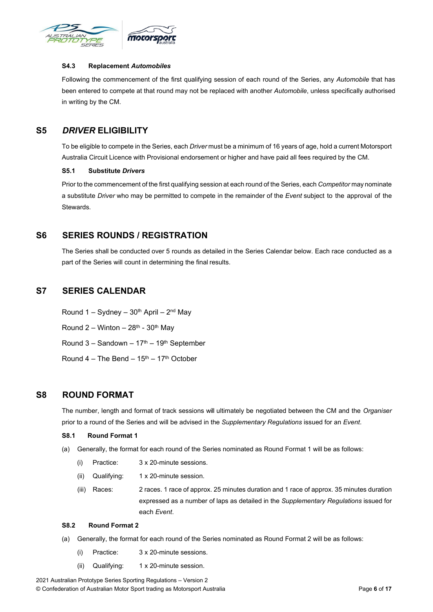

#### **S4.3 Replacement** *Automobiles*

Following the commencement of the first qualifying session of each round of the Series, any *Automobile* that has been entered to compete at that round may not be replaced with another *Automobile*, unless specifically authorised in writing by the CM.

### <span id="page-5-1"></span><span id="page-5-0"></span>**S5** *DRIVER* **ELIGIBILITY**

To be eligible to compete in the Series, each *Driver* must be a minimum of 16 years of age, hold a current Motorsport Australia Circuit Licence with Provisional endorsement or higher and have paid all fees required by the CM.

#### **S5.1 Substitute** *Drivers*

Prior to the commencement of the first qualifying session at each round of the Series, each *Competitor* may nominate a substitute *Driver* who may be permitted to compete in the remainder of the *Event* subject to the approval of the Stewards.

#### <span id="page-5-2"></span>**S6 SERIES ROUNDS / REGISTRATION**

The Series shall be conducted over 5 rounds as detailed in the Series Calendar below. Each race conducted as a part of the Series will count in determining the final results.

## <span id="page-5-3"></span>**S7 SERIES CALENDAR**

Round 1 – Sydney –  $30<sup>th</sup>$  April –  $2<sup>nd</sup>$  May Round  $2 -$  Winton  $-28$ <sup>th</sup> - 30<sup>th</sup> May Round  $3 -$  Sandown  $-17<sup>th</sup> - 19<sup>th</sup>$  September Round  $4$  – The Bend –  $15<sup>th</sup>$  –  $17<sup>th</sup>$  October

### <span id="page-5-5"></span><span id="page-5-4"></span>**S8 ROUND FORMAT**

The number, length and format of track sessions will ultimately be negotiated between the CM and the *Organiser* prior to a round of the Series and will be advised in the *Supplementary Regulations* issued for an *Event*.

#### **S8.1 Round Format 1**

- (a) Generally, the format for each round of the Series nominated as Round Format 1 will be as follows:
	- (i) Practice: 3 x 20-minute sessions.
	- (ii) Qualifying: 1 x 20-minute session.
	- (iii) Races: 2 races. 1 race of approx. 25 minutes duration and 1 race of approx. 35 minutes duration expressed as a number of laps as detailed in the *Supplementary Regulations* issued for each *Event*.

#### <span id="page-5-6"></span>**S8.2 Round Format 2**

- (a) Generally, the format for each round of the Series nominated as Round Format 2 will be as follows:
	- (i) Practice: 3 x 20-minute sessions.
	- (ii) Qualifying: 1 x 20-minute session.

2021 Australian Prototype Series Sporting Regulations – Version 2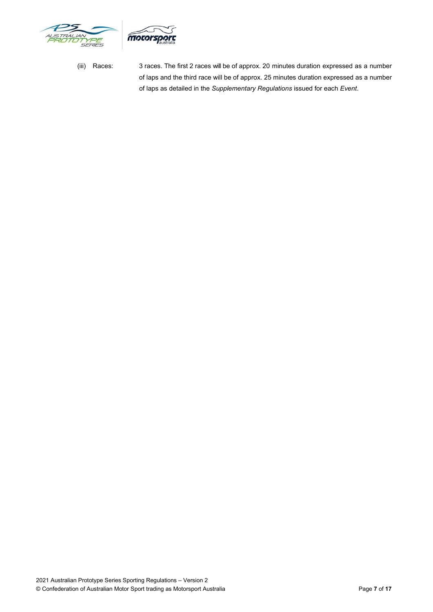



(iii) Races: 3 races. The first 2 races will be of approx. 20 minutes duration expressed as a number of laps and the third race will be of approx. 25 minutes duration expressed as a number of laps as detailed in the *Supplementary Regulations* issued for each *Event*.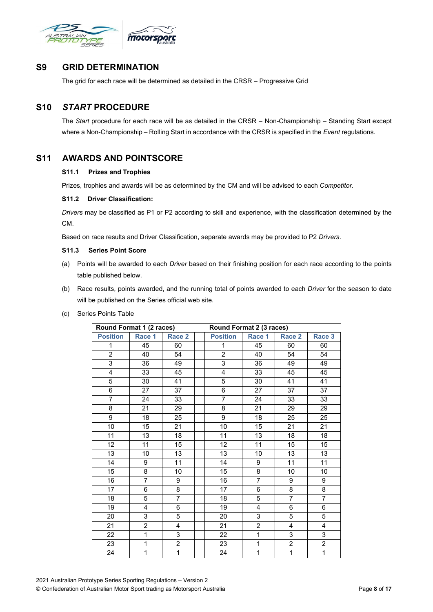

### <span id="page-7-0"></span>**S9 GRID DETERMINATION**

The grid for each race will be determined as detailed in the CRSR – Progressive Grid

## <span id="page-7-1"></span>**S10** *START* **PROCEDURE**

The *Start* procedure for each race will be as detailed in the CRSR – Non-Championship – Standing Start except where a Non-Championship – Rolling Start in accordance with the CRSR is specified in the *Event* regulations.

## <span id="page-7-4"></span><span id="page-7-3"></span><span id="page-7-2"></span>**S11 AWARDS AND POINTSCORE**

#### **S11.1 Prizes and Trophies**

Prizes, trophies and awards will be as determined by the CM and will be advised to each *Competitor*.

#### **S11.2 Driver Classification:**

*Drivers* may be classified as P1 or P2 according to skill and experience, with the classification determined by the CM.

Based on race results and Driver Classification, separate awards may be provided to P2 *Drivers*.

#### <span id="page-7-5"></span>**S11.3 Series Point Score**

- (a) Points will be awarded to each *Driver* based on their finishing position for each race according to the points table published below.
- (b) Race results, points awarded, and the running total of points awarded to each *Driver* for the season to date will be published on the Series official web site.
- (c) Series Points Table

| Round Format 1 (2 races) |                         |                   |  | Round Format 2 (3 races) |                 |                 |                |
|--------------------------|-------------------------|-------------------|--|--------------------------|-----------------|-----------------|----------------|
| <b>Position</b>          | Race 1                  | Race <sub>2</sub> |  | <b>Position</b>          | Race 1          | Race 2          | Race 3         |
| 1                        | 45                      | 60                |  | 1                        | 45              | 60              | 60             |
| $\overline{2}$           | 40                      | 54                |  | $\overline{2}$           | 40              | 54              | 54             |
| $\overline{3}$           | 36                      | 49                |  | 3                        | 36              | 49              | 49             |
| $\overline{4}$           | 33                      | 45                |  | 4                        | 33              | $\overline{45}$ | 45             |
| $\overline{5}$           | 30                      | 41                |  | $\overline{5}$           | $\overline{30}$ | 41              | 41             |
| 6                        | 27                      | 37                |  | 6                        | 27              | 37              | 37             |
| $\overline{7}$           | 24                      | 33                |  | $\overline{7}$           | 24              | 33              | 33             |
| $\overline{8}$           | 21                      | 29                |  | 8                        | 21              | 29              | 29             |
| 9                        | 18                      | 25                |  | 9                        | 18              | 25              | 25             |
| 10                       | $\overline{15}$         | 21                |  | 10                       | 15              | 21              | 21             |
| 11                       | 13                      | 18                |  | 11                       | 13              | $\overline{18}$ | 18             |
| 12                       | 11                      | 15                |  | $\overline{12}$          | 11              | $\overline{15}$ | 15             |
| 13                       | 10                      | 13                |  | $\overline{13}$          | 10              | 13              | 13             |
| 14                       | 9                       | 11                |  | 14                       | 9               | $\overline{11}$ | 11             |
| 15                       | 8                       | 10                |  | $\overline{15}$          | 8               | 10              | 10             |
| 16                       | $\overline{7}$          | 9                 |  | 16                       | $\overline{7}$  | 9               | 9              |
| 17                       | $\overline{6}$          | 8                 |  | 17                       | $\overline{6}$  | $\overline{8}$  | $\overline{8}$ |
| 18                       | 5                       | $\overline{7}$    |  | 18                       | 5               | $\overline{7}$  | $\overline{7}$ |
| 19                       | $\overline{\mathbf{4}}$ | 6                 |  | 19                       | $\overline{4}$  | $6\phantom{1}$  | 6              |
| 20                       | 3                       | $\overline{5}$    |  | 20                       | 3               | $\overline{5}$  | $\overline{5}$ |
| 21                       | $\overline{2}$          | 4                 |  | 21                       | $\overline{c}$  | 4               | 4              |
| 22                       | $\overline{1}$          | 3                 |  | 22                       | $\mathbf{1}$    | 3               | 3              |
| 23                       | $\overline{1}$          | $\overline{2}$    |  | 23                       | $\overline{1}$  | $\overline{2}$  | $\overline{2}$ |
| $\overline{24}$          | $\overline{1}$          | $\overline{1}$    |  | $\overline{24}$          | $\overline{1}$  | $\overline{1}$  | $\overline{1}$ |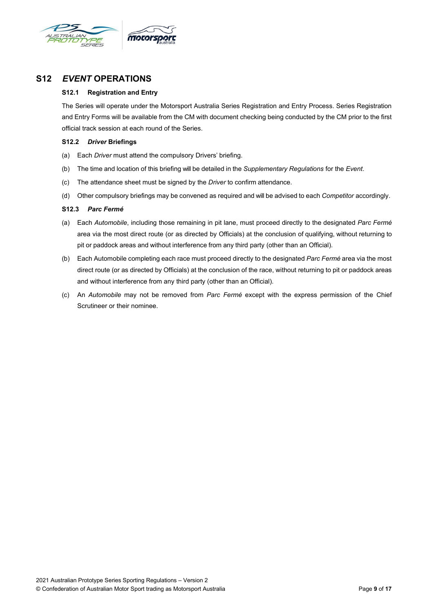

## <span id="page-8-1"></span><span id="page-8-0"></span>**S12** *EVENT* **OPERATIONS**

#### **S12.1 Registration and Entry**

The Series will operate under the Motorsport Australia Series Registration and Entry Process. Series Registration and Entry Forms will be available from the CM with document checking being conducted by the CM prior to the first official track session at each round of the Series.

#### <span id="page-8-2"></span>**S12.2** *Driver* **Briefings**

- (a) Each *Driver* must attend the compulsory Drivers' briefing.
- (b) The time and location of this briefing will be detailed in the *Supplementary Regulations* for the *Event*.
- (c) The attendance sheet must be signed by the *Driver* to confirm attendance.
- (d) Other compulsory briefings may be convened as required and will be advised to each *Competitor* accordingly.

#### <span id="page-8-3"></span>**S12.3** *Parc Fermé*

- (a) Each *Automobile*, including those remaining in pit lane, must proceed directly to the designated *Parc Fermé* area via the most direct route (or as directed by Officials) at the conclusion of qualifying, without returning to pit or paddock areas and without interference from any third party (other than an Official).
- (b) Each Automobile completing each race must proceed directly to the designated *Parc Fermé* area via the most direct route (or as directed by Officials) at the conclusion of the race, without returning to pit or paddock areas and without interference from any third party (other than an Official).
- (c) An *Automobile* may not be removed from *Parc Fermé* except with the express permission of the Chief Scrutineer or their nominee.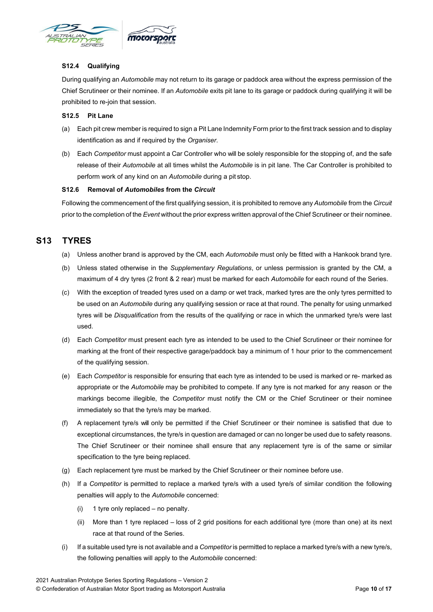<span id="page-9-0"></span>

#### **S12.4 Qualifying**

During qualifying an *Automobile* may not return to its garage or paddock area without the express permission of the Chief Scrutineer or their nominee. If an *Automobile* exits pit lane to its garage or paddock during qualifying it will be prohibited to re-join that session.

#### <span id="page-9-1"></span>**S12.5 Pit Lane**

- (a) Each pit crew member is required to sign a Pit Lane Indemnity Form prior to the first track session and to display identification as and if required by the *Organiser*.
- (b) Each *Competitor* must appoint a Car Controller who will be solely responsible for the stopping of, and the safe release of their *Automobile* at all times whilst the *Automobile* is in pit lane. The Car Controller is prohibited to perform work of any kind on an *Automobile* during a pit stop.

#### **S12.6 Removal of** *Automobiles* **from the** *Circuit*

Following the commencement of the first qualifying session, it is prohibited to remove any *Automobile* from the *Circuit* prior to the completion of the *Event* without the prior express written approval of the Chief Scrutineer or their nominee.

## <span id="page-9-3"></span><span id="page-9-2"></span>**S13 TYRES**

- (a) Unless another brand is approved by the CM, each *Automobile* must only be fitted with a Hankook brand tyre.
- (b) Unless stated otherwise in the *Supplementary Regulations*, or unless permission is granted by the CM, a maximum of 4 dry tyres (2 front & 2 rear) must be marked for each *Automobile* for each round of the Series.
- (c) With the exception of treaded tyres used on a damp or wet track, marked tyres are the only tyres permitted to be used on an *Automobile* during any qualifying session or race at that round. The penalty for using unmarked tyres will be *Disqualification* from the results of the qualifying or race in which the unmarked tyre/s were last used.
- (d) Each *Competitor* must present each tyre as intended to be used to the Chief Scrutineer or their nominee for marking at the front of their respective garage/paddock bay a minimum of 1 hour prior to the commencement of the qualifying session.
- (e) Each *Competitor* is responsible for ensuring that each tyre as intended to be used is marked or re- marked as appropriate or the *Automobile* may be prohibited to compete. If any tyre is not marked for any reason or the markings become illegible, the *Competitor* must notify the CM or the Chief Scrutineer or their nominee immediately so that the tyre/s may be marked.
- (f) A replacement tyre/s will only be permitted if the Chief Scrutineer or their nominee is satisfied that due to exceptional circumstances, the tyre/s in question are damaged or can no longer be used due to safety reasons. The Chief Scrutineer or their nominee shall ensure that any replacement tyre is of the same or similar specification to the tyre being replaced.
- (g) Each replacement tyre must be marked by the Chief Scrutineer or their nominee before use.
- (h) If a *Competitor* is permitted to replace a marked tyre/s with a used tyre/s of similar condition the following penalties will apply to the *Automobile* concerned:
	- (i) 1 tyre only replaced no penalty.
	- (ii) More than 1 tyre replaced loss of 2 grid positions for each additional tyre (more than one) at its next race at that round of the Series.
- (i) If a suitable used tyre is not available and a *Competitor* is permitted to replace a marked tyre/s with a new tyre/s, the following penalties will apply to the *Automobile* concerned: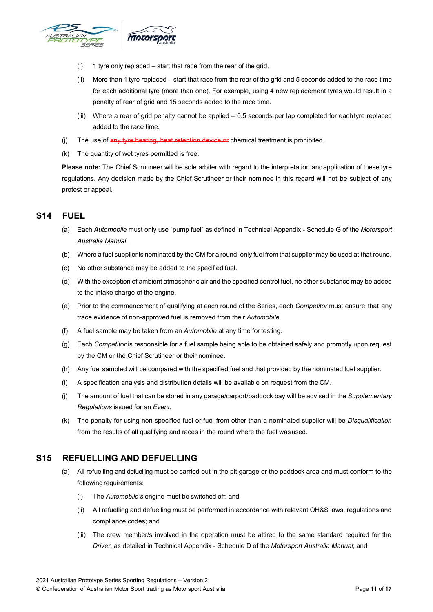

- (i) 1 tyre only replaced start that race from the rear of the grid.
- (ii) More than 1 tyre replaced start that race from the rear of the grid and 5 seconds added to the race time for each additional tyre (more than one). For example, using 4 new replacement tyres would result in a penalty of rear of grid and 15 seconds added to the race time.
- (iii) Where a rear of grid penalty cannot be applied 0.5 seconds per lap completed for eachtyre replaced added to the race time.
- (i) The use of any tyre heating, heat retention device or chemical treatment is prohibited.
- (k) The quantity of wet tyres permitted is free.

**Please note:** The Chief Scrutineer will be sole arbiter with regard to the interpretation andapplication of these tyre regulations. Any decision made by the Chief Scrutineer or their nominee in this regard will not be subject of any protest or appeal.

## <span id="page-10-0"></span>**S14 FUEL**

- (a) Each *Automobile* must only use "pump fuel" as defined in Technical Appendix Schedule G of the *Motorsport Australia Manual*.
- (b) Where a fuel supplier is nominated by the CM for a round, only fuel from that supplier may be used at that round.
- (c) No other substance may be added to the specified fuel.
- (d) With the exception of ambient atmospheric air and the specified control fuel, no other substance may be added to the intake charge of the engine.
- (e) Prior to the commencement of qualifying at each round of the Series, each *Competitor* must ensure that any trace evidence of non-approved fuel is removed from their *Automobile*.
- (f) A fuel sample may be taken from an *Automobile* at any time for testing.
- (g) Each *Competitor* is responsible for a fuel sample being able to be obtained safely and promptly upon request by the CM or the Chief Scrutineer or their nominee.
- (h) Any fuel sampled will be compared with the specified fuel and that provided by the nominated fuel supplier.
- (i) A specification analysis and distribution details will be available on request from the CM.
- (j) The amount of fuel that can be stored in any garage/carport/paddock bay will be advised in the *Supplementary Regulations* issued for an *Event*.
- (k) The penalty for using non-specified fuel or fuel from other than a nominated supplier will be *Disqualification* from the results of all qualifying and races in the round where the fuel was used.

### <span id="page-10-1"></span>**S15 REFUELLING AND DEFUELLING**

- (a) All refuelling and defuelling must be carried out in the pit garage or the paddock area and must conform to the following requirements:
	- (i) The *Automobile's* engine must be switched off; and
	- (ii) All refuelling and defuelling must be performed in accordance with relevant OH&S laws, regulations and compliance codes; and
	- (iii) The crew member/s involved in the operation must be attired to the same standard required for the *Driver*, as detailed in Technical Appendix - Schedule D of the *Motorsport Australia Manual*; and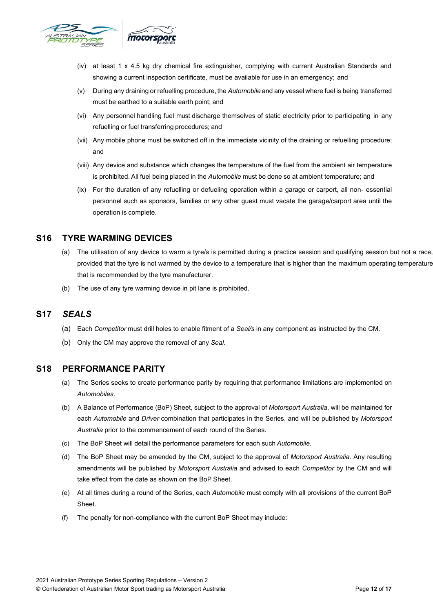

- (iv) at least 1 x 4.5 kg dry chemical fire extinguisher, complying with current Australian Standards and showing a current inspection certificate, must be available for use in an emergency; and
- (v) During any draining or refuelling procedure, the *Automobile* and any vessel where fuel is being transferred must be earthed to a suitable earth point; and
- (vi) Any personnel handling fuel must discharge themselves of static electricity prior to participating in any refuelling or fuel transferring procedures; and
- (vii) Any mobile phone must be switched off in the immediate vicinity of the draining or refuelling procedure; and
- (viii) Any device and substance which changes the temperature of the fuel from the ambient air temperature is prohibited. All fuel being placed in the *Automobile* must be done so at ambient temperature; and
- (ix) For the duration of any refuelling or defueling operation within a garage or carport, all non- essential personnel such as sponsors, families or any other guest must vacate the garage/carport area until the operation is complete.

## <span id="page-11-0"></span>**S16 TYRE WARMING DEVICES**

- (a) The utilisation of any device to warm a tyre/s is permitted during a practice session and qualifying session but not a race, provided that the tyre is not warmed by the device to a temperature that is higher than the maximum operating temperature that is recommended by the tyre manufacturer.
- (b) The use of any tyre warming device in pit lane is prohibited.

## <span id="page-11-1"></span>**S17** *SEALS*

- (a) Each *Competitor* must drill holes to enable fitment of a *Seal/s* in any component as instructed by the CM.
- (b) Only the CM may approve the removal of any *Seal*.

### <span id="page-11-2"></span>**S18 PERFORMANCE PARITY**

- (a) The Series seeks to create performance parity by requiring that performance limitations are implemented on *Automobiles*.
- (b) A Balance of Performance (BoP) Sheet, subject to the approval of *Motorsport Australia*, will be maintained for each *Automobile* and *Driver* combination that participates in the Series, and will be published by *Motorsport Australia* prior to the commencement of each round of the Series.
- (c) The BoP Sheet will detail the performance parameters for each such *Automobile*.
- (d) The BoP Sheet may be amended by the CM, subject to the approval of *Motorsport Australia*. Any resulting amendments will be published by *Motorsport Australia* and advised to each *Competitor* by the CM and will take effect from the date as shown on the BoP Sheet.
- (e) At all times during a round of the Series, each *Automobile* must comply with all provisions of the current BoP Sheet.
- (f) The penalty for non-compliance with the current BoP Sheet may include: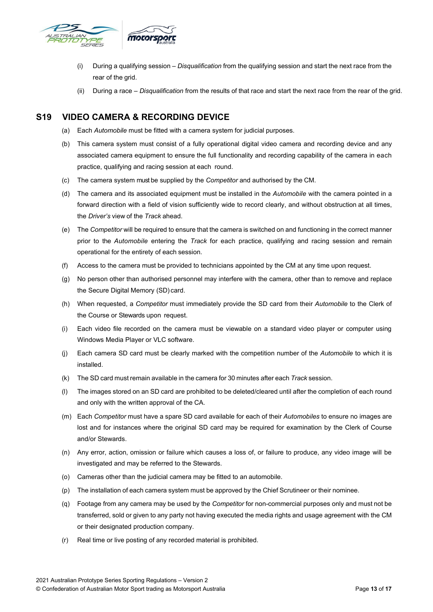

- (i) During a qualifying session *Disqualification* from the qualifying session and start the next race from the rear of the grid.
- (ii) During a race *Disqualification* from the results of that race and start the next race from the rear of the grid.

## <span id="page-12-0"></span>**S19 VIDEO CAMERA & RECORDING DEVICE**

- (a) Each *Automobile* must be fitted with a camera system for judicial purposes.
- (b) This camera system must consist of a fully operational digital video camera and recording device and any associated camera equipment to ensure the full functionality and recording capability of the camera in each practice, qualifying and racing session at each round.
- (c) The camera system must be supplied by the *Competitor* and authorised by the CM.
- (d) The camera and its associated equipment must be installed in the *Automobile* with the camera pointed in a forward direction with a field of vision sufficiently wide to record clearly, and without obstruction at all times, the *Driver's* view of the *Track* ahead.
- (e) The *Competitor* will be required to ensure that the camera is switched on and functioning in the correct manner prior to the *Automobile* entering the *Track* for each practice, qualifying and racing session and remain operational for the entirety of each session.
- (f) Access to the camera must be provided to technicians appointed by the CM at any time upon request.
- (g) No person other than authorised personnel may interfere with the camera, other than to remove and replace the Secure Digital Memory (SD) card.
- (h) When requested, a *Competitor* must immediately provide the SD card from their *Automobile* to the Clerk of the Course or Stewards upon request.
- (i) Each video file recorded on the camera must be viewable on a standard video player or computer using Windows Media Player or VLC software.
- (j) Each camera SD card must be clearly marked with the competition number of the *Automobile* to which it is installed.
- (k) The SD card must remain available in the camera for 30 minutes after each *Track* session.
- (l) The images stored on an SD card are prohibited to be deleted/cleared until after the completion of each round and only with the written approval of the CA.
- (m) Each *Competitor* must have a spare SD card available for each of their *Automobiles* to ensure no images are lost and for instances where the original SD card may be required for examination by the Clerk of Course and/or Stewards.
- (n) Any error, action, omission or failure which causes a loss of, or failure to produce, any video image will be investigated and may be referred to the Stewards.
- (o) Cameras other than the judicial camera may be fitted to an automobile.
- (p) The installation of each camera system must be approved by the Chief Scrutineer or their nominee.
- (q) Footage from any camera may be used by the *Competitor* for non-commercial purposes only and must not be transferred, sold or given to any party not having executed the media rights and usage agreement with the CM or their designated production company.
- (r) Real time or live posting of any recorded material is prohibited.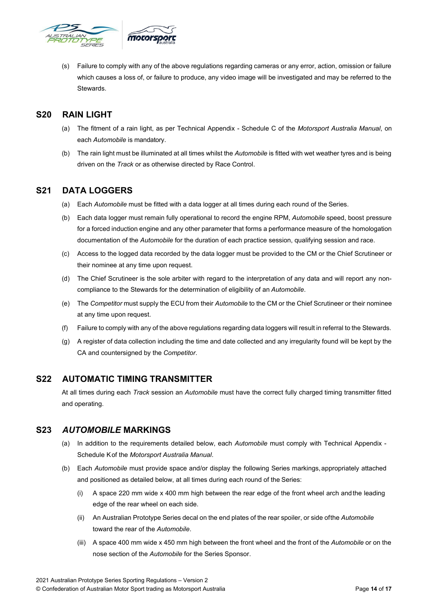

(s) Failure to comply with any of the above regulations regarding cameras or any error, action, omission or failure which causes a loss of, or failure to produce, any video image will be investigated and may be referred to the Stewards.

## <span id="page-13-0"></span>**S20 RAIN LIGHT**

- (a) The fitment of a rain light, as per Technical Appendix Schedule C of the *Motorsport Australia Manual*, on each *Automobile* is mandatory.
- (b) The rain light must be illuminated at all times whilst the *Automobile* is fitted with wet weather tyres and is being driven on the *Track* or as otherwise directed by Race Control.

## <span id="page-13-1"></span>**S21 DATA LOGGERS**

- (a) Each *Automobile* must be fitted with a data logger at all times during each round of the Series.
- (b) Each data logger must remain fully operational to record the engine RPM, *Automobile* speed, boost pressure for a forced induction engine and any other parameter that forms a performance measure of the homologation documentation of the *Automobile* for the duration of each practice session, qualifying session and race.
- (c) Access to the logged data recorded by the data logger must be provided to the CM or the Chief Scrutineer or their nominee at any time upon request.
- (d) The Chief Scrutineer is the sole arbiter with regard to the interpretation of any data and will report any noncompliance to the Stewards for the determination of eligibility of an *Automobile*.
- (e) The *Competitor* must supply the ECU from their *Automobile* to the CM or the Chief Scrutineer or their nominee at any time upon request.
- (f) Failure to comply with any of the above regulations regarding data loggers will result in referral to the Stewards.
- (g) A register of data collection including the time and date collected and any irregularity found will be kept by the CA and countersigned by the *Competitor*.

## <span id="page-13-2"></span>**S22 AUTOMATIC TIMING TRANSMITTER**

At all times during each *Track* session an *Automobile* must have the correct fully charged timing transmitter fitted and operating.

## <span id="page-13-3"></span>**S23** *AUTOMOBILE* **MARKINGS**

- (a) In addition to the requirements detailed below, each *Automobile* must comply with Technical Appendix Schedule Kof the *Motorsport Australia Manual*.
- (b) Each *Automobile* must provide space and/or display the following Series markings,appropriately attached and positioned as detailed below, at all times during each round of the Series:
	- (i) A space 220 mm wide x 400 mm high between the rear edge of the front wheel arch andthe leading edge of the rear wheel on each side.
	- (ii) An Australian Prototype Series decal on the end plates of the rear spoiler, or side ofthe *Automobile* toward the rear of the *Automobile*.
	- (iii) A space 400 mm wide x 450 mm high between the front wheel and the front of the *Automobile* or on the nose section of the *Automobile* for the Series Sponsor.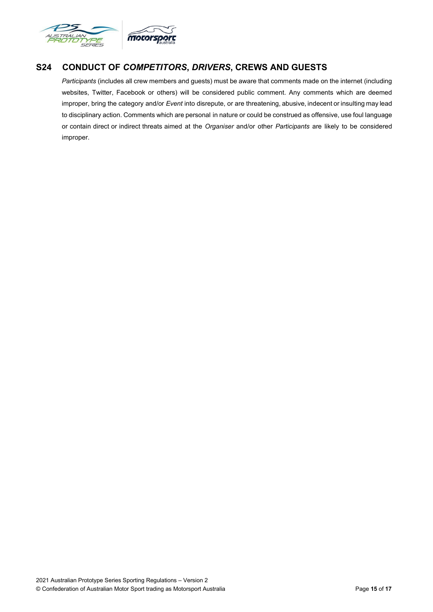

## <span id="page-14-0"></span>**S24 CONDUCT OF** *COMPETITORS***,** *DRIVERS***, CREWS AND GUESTS**

*Participants* (includes all crew members and guests) must be aware that comments made on the internet (including websites, Twitter, Facebook or others) will be considered public comment. Any comments which are deemed improper, bring the category and/or *Event* into disrepute, or are threatening, abusive, indecent or insulting may lead to disciplinary action. Comments which are personal in nature or could be construed as offensive, use foul language or contain direct or indirect threats aimed at the *Organiser* and/or other *Participants* are likely to be considered improper.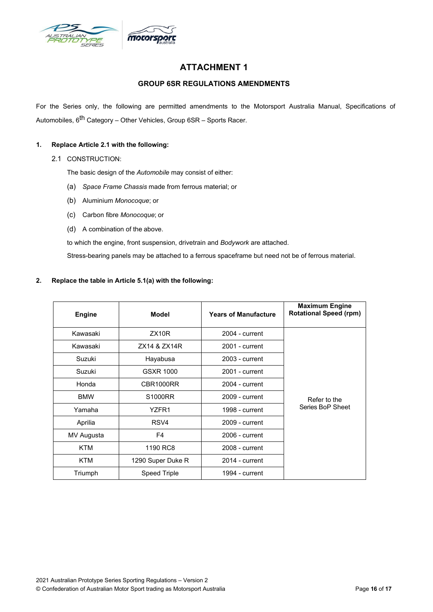

## **ATTACHMENT 1**

#### **GROUP 6SR REGULATIONS AMENDMENTS**

<span id="page-15-1"></span><span id="page-15-0"></span>For the Series only, the following are permitted amendments to the Motorsport Australia Manual, Specifications of Automobiles, 6<sup>th</sup> Category – Other Vehicles, Group 6SR – Sports Racer.

#### **1. Replace Article 2.1 with the following:**

2.1 CONSTRUCTION:

The basic design of the *Automobile* may consist of either:

- (a) *Space Frame Chassis* made from ferrous material; or
- (b) Aluminium *Monocoque*; or
- (c) Carbon fibre *Monocoque*; or
- (d) A combination of the above.

to which the engine, front suspension, drivetrain and *Bodywork* are attached.

Stress-bearing panels may be attached to a ferrous spaceframe but need not be of ferrous material.

#### **2. Replace the table in Article 5.1(a) with the following:**

| <b>Engine</b> | <b>Model</b>        | <b>Years of Manufacture</b> | <b>Maximum Engine</b><br><b>Rotational Speed (rpm)</b> |
|---------------|---------------------|-----------------------------|--------------------------------------------------------|
| Kawasaki      | ZX10R               | $2004$ - current            |                                                        |
| Kawasaki      | ZX14 & ZX14R        | 2001 - current              |                                                        |
| Suzuki        | Hayabusa            | 2003 - current              |                                                        |
| Suzuki        | GSXR 1000           | 2001 - current              |                                                        |
| Honda         | CBR1000RR           | $2004 - current$            | Refer to the                                           |
| <b>BMW</b>    | S1000RR             | 2009 - current              |                                                        |
| Yamaha        | YZFR1               | 1998 - current              | Series BoP Sheet                                       |
| Aprilia       | RSV4                | 2009 - current              |                                                        |
| MV Augusta    | F4                  | $2006$ - current            |                                                        |
| <b>KTM</b>    | 1190 RC8            | 2008 - current              |                                                        |
| KTM           | 1290 Super Duke R   | $2014$ - current            |                                                        |
| Triumph       | <b>Speed Triple</b> | 1994 - current              |                                                        |